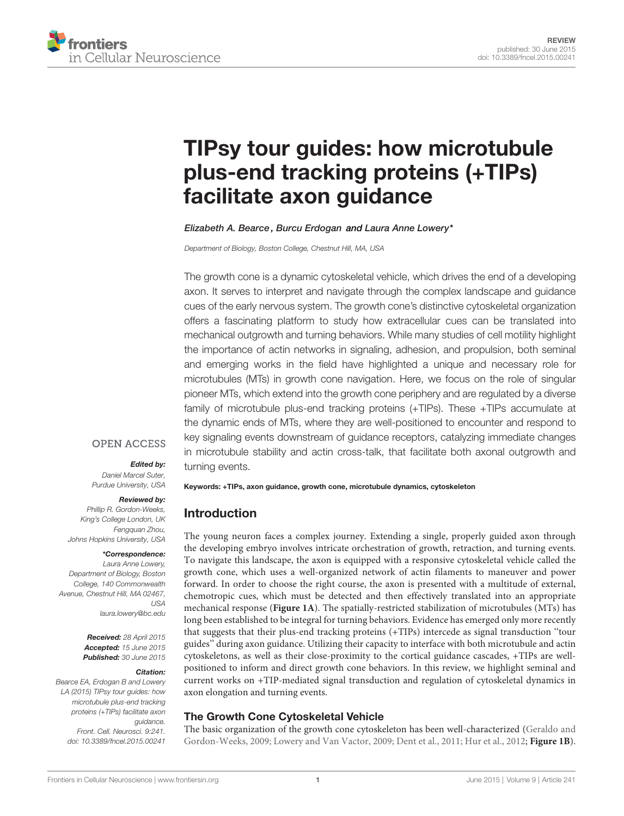

# [TIPsy tour guides: how microtubule](http://journal.frontiersin.org/article/10.3389/fncel.2015.00241/abstract) [plus-end tracking proteins \(+TIPs\)](http://journal.frontiersin.org/article/10.3389/fncel.2015.00241/abstract) [facilitate axon guidance](http://journal.frontiersin.org/article/10.3389/fncel.2015.00241/abstract)

[Elizabeth A. Bearce](http://loop.frontiersin.org/people/233249) , [Burcu Erdogan](http://loop.frontiersin.org/people/167857) and [Laura Anne Lowery\\*](http://loop.frontiersin.org/people/200917)

Department of Biology, Boston College, Chestnut Hill, MA, USA

The growth cone is a dynamic cytoskeletal vehicle, which drives the end of a developing axon. It serves to interpret and navigate through the complex landscape and guidance cues of the early nervous system. The growth cone's distinctive cytoskeletal organization offers a fascinating platform to study how extracellular cues can be translated into mechanical outgrowth and turning behaviors. While many studies of cell motility highlight the importance of actin networks in signaling, adhesion, and propulsion, both seminal and emerging works in the field have highlighted a unique and necessary role for microtubules (MTs) in growth cone navigation. Here, we focus on the role of singular pioneer MTs, which extend into the growth cone periphery and are regulated by a diverse family of microtubule plus-end tracking proteins (+TIPs). These +TIPs accumulate at the dynamic ends of MTs, where they are well-positioned to encounter and respond to key signaling events downstream of guidance receptors, catalyzing immediate changes in microtubule stability and actin cross-talk, that facilitate both axonal outgrowth and turning events.

### **OPEN ACCESS**

#### Edited by:

Daniel Marcel Suter, Purdue University, USA

#### Reviewed by:

Phillip R. Gordon-Weeks, King's College London, UK Fengquan Zhou, Johns Hopkins University, USA

#### \*Correspondence:

Laura Anne Lowery, Department of Biology, Boston College, 140 Commonwealth Avenue, Chestnut Hill, MA 02467, USA [laura.lowery@bc.edu](mailto:laura.lowery@bc.edu)

> Received: 28 April 2015 Accepted: 15 June 2015 Published: 30 June 2015

#### Citation:

Bearce EA, Erdogan B and Lowery LA (2015) TIPsy tour guides: how microtubule plus-end tracking proteins (+TIPs) facilitate axon guidance. Front. Cell. Neurosci. 9:241. [doi: 10.3389/fncel.2015.00241](http://dx.doi.org/10.3389/fncel.2015.00241)

Keywords: +TIPs, axon guidance, growth cone, microtubule dynamics, cytoskeleton

# Introduction

The young neuron faces a complex journey. Extending a single, properly guided axon through the developing embryo involves intricate orchestration of growth, retraction, and turning events. To navigate this landscape, the axon is equipped with a responsive cytoskeletal vehicle called the growth cone, which uses a well-organized network of actin filaments to maneuver and power forward. In order to choose the right course, the axon is presented with a multitude of external, chemotropic cues, which must be detected and then effectively translated into an appropriate mechanical response (**[Figure 1A](#page-1-0)**). The spatially-restricted stabilization of microtubules (MTs) has long been established to be integral for turning behaviors. Evidence has emerged only more recently that suggests that their plus-end tracking proteins (+TIPs) intercede as signal transduction ''tour guides'' during axon guidance. Utilizing their capacity to interface with both microtubule and actin cytoskeletons, as well as their close-proximity to the cortical guidance cascades, +TIPs are wellpositioned to inform and direct growth cone behaviors. In this review, we highlight seminal and current works on +TIP-mediated signal transduction and regulation of cytoskeletal dynamics in axon elongation and turning events.

# The Growth Cone Cytoskeletal Vehicle

The basic organization of the growth cone cytoskeleton has been well-characterized [\(Geraldo and](#page-9-0) [Gordon-Weeks, 2009;](#page-9-0) [Lowery and Van Vactor, 2009;](#page-10-0) [Dent et al., 2011;](#page-9-1) [Hur et al., 2012;](#page-9-2) **[Figure 1B](#page-1-0)**).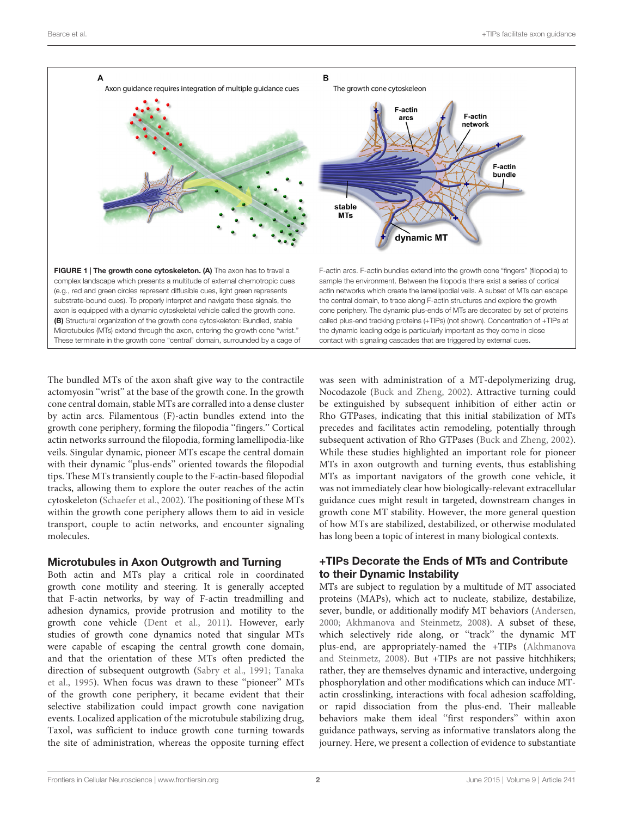

<span id="page-1-0"></span>The bundled MTs of the axon shaft give way to the contractile actomyosin ''wrist'' at the base of the growth cone. In the growth cone central domain, stable MTs are corralled into a dense cluster by actin arcs. Filamentous (F)-actin bundles extend into the growth cone periphery, forming the filopodia ''fingers.'' Cortical actin networks surround the filopodia, forming lamellipodia-like veils. Singular dynamic, pioneer MTs escape the central domain with their dynamic ''plus-ends'' oriented towards the filopodial tips. These MTs transiently couple to the F-actin-based filopodial tracks, allowing them to explore the outer reaches of the actin cytoskeleton [\(Schaefer et al.,](#page-11-0) [2002\)](#page-11-0). The positioning of these MTs within the growth cone periphery allows them to aid in vesicle transport, couple to actin networks, and encounter signaling molecules.

# Microtubules in Axon Outgrowth and Turning

Both actin and MTs play a critical role in coordinated growth cone motility and steering. It is generally accepted that F-actin networks, by way of F-actin treadmilling and adhesion dynamics, provide protrusion and motility to the growth cone vehicle [\(Dent et al.,](#page-9-1) [2011\)](#page-9-1). However, early studies of growth cone dynamics noted that singular MTs were capable of escaping the central growth cone domain, and that the orientation of these MTs often predicted the direction of subsequent outgrowth [\(Sabry et al.,](#page-10-1) [1991;](#page-10-1) [Tanaka](#page-11-1) [et al.,](#page-11-1) [1995\)](#page-11-1). When focus was drawn to these ''pioneer'' MTs of the growth cone periphery, it became evident that their selective stabilization could impact growth cone navigation events. Localized application of the microtubule stabilizing drug, Taxol, was sufficient to induce growth cone turning towards the site of administration, whereas the opposite turning effect

was seen with administration of a MT-depolymerizing drug, Nocodazole [\(Buck and Zheng,](#page-9-3) [2002\)](#page-9-3). Attractive turning could be extinguished by subsequent inhibition of either actin or Rho GTPases, indicating that this initial stabilization of MTs precedes and facilitates actin remodeling, potentially through subsequent activation of Rho GTPases [\(Buck and Zheng,](#page-9-3) [2002\)](#page-9-3). While these studies highlighted an important role for pioneer MTs in axon outgrowth and turning events, thus establishing MTs as important navigators of the growth cone vehicle, it was not immediately clear how biologically-relevant extracellular guidance cues might result in targeted, downstream changes in growth cone MT stability. However, the more general question of how MTs are stabilized, destabilized, or otherwise modulated has long been a topic of interest in many biological contexts.

# +TIPs Decorate the Ends of MTs and Contribute to their Dynamic Instability

MTs are subject to regulation by a multitude of MT associated proteins (MAPs), which act to nucleate, stabilize, destabilize, sever, bundle, or additionally modify MT behaviors [\(Andersen,](#page-8-0) [2000;](#page-8-0) [Akhmanova and Steinmetz,](#page-8-1) [2008\)](#page-8-1). A subset of these, which selectively ride along, or ''track'' the dynamic MT plus-end, are appropriately-named the +TIPs [\(Akhmanova](#page-8-1) [and Steinmetz,](#page-8-1) [2008\)](#page-8-1). But +TIPs are not passive hitchhikers; rather, they are themselves dynamic and interactive, undergoing phosphorylation and other modifications which can induce MTactin crosslinking, interactions with focal adhesion scaffolding, or rapid dissociation from the plus-end. Their malleable behaviors make them ideal ''first responders'' within axon guidance pathways, serving as informative translators along the journey. Here, we present a collection of evidence to substantiate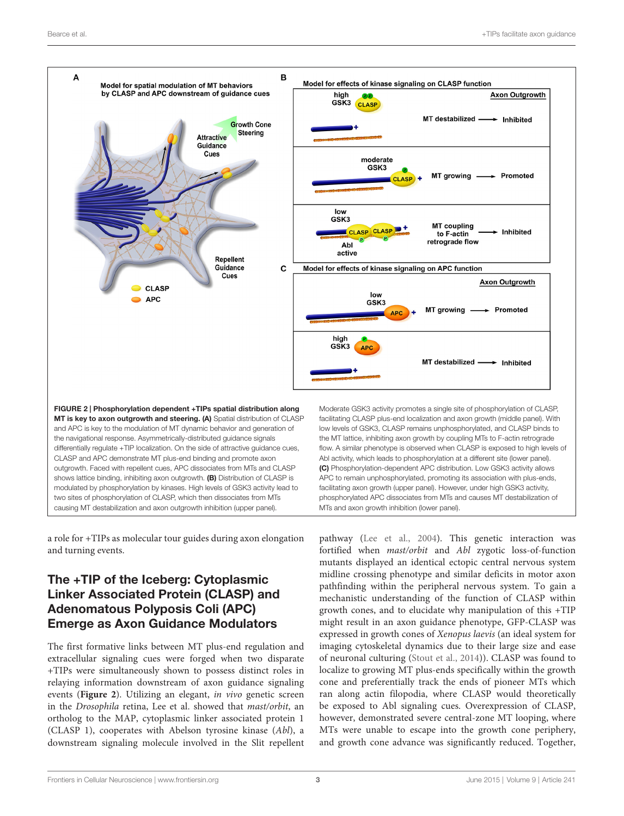

<span id="page-2-0"></span>a role for +TIPs as molecular tour guides during axon elongation and turning events.

# The +TIP of the Iceberg: Cytoplasmic Linker Associated Protein (CLASP) and Adenomatous Polyposis Coli (APC) Emerge as Axon Guidance Modulators

The first formative links between MT plus-end regulation and extracellular signaling cues were forged when two disparate +TIPs were simultaneously shown to possess distinct roles in relaying information downstream of axon guidance signaling events (**[Figure 2](#page-2-0)**). Utilizing an elegant, in vivo genetic screen in the Drosophila retina, Lee et al. showed that mast/orbit, an ortholog to the MAP, cytoplasmic linker associated protein 1 (CLASP 1), cooperates with Abelson tyrosine kinase (Abl), a downstream signaling molecule involved in the Slit repellent pathway [\(Lee et al.,](#page-9-4) [2004\)](#page-9-4). This genetic interaction was fortified when mast/orbit and Abl zygotic loss-of-function mutants displayed an identical ectopic central nervous system midline crossing phenotype and similar deficits in motor axon pathfinding within the peripheral nervous system. To gain a mechanistic understanding of the function of CLASP within growth cones, and to elucidate why manipulation of this +TIP might result in an axon guidance phenotype, GFP-CLASP was expressed in growth cones of Xenopus laevis (an ideal system for imaging cytoskeletal dynamics due to their large size and ease of neuronal culturing [\(Stout et al.,](#page-11-2) [2014\)](#page-11-2)). CLASP was found to localize to growing MT plus-ends specifically within the growth cone and preferentially track the ends of pioneer MTs which ran along actin filopodia, where CLASP would theoretically be exposed to Abl signaling cues. Overexpression of CLASP, however, demonstrated severe central-zone MT looping, where MTs were unable to escape into the growth cone periphery, and growth cone advance was significantly reduced. Together,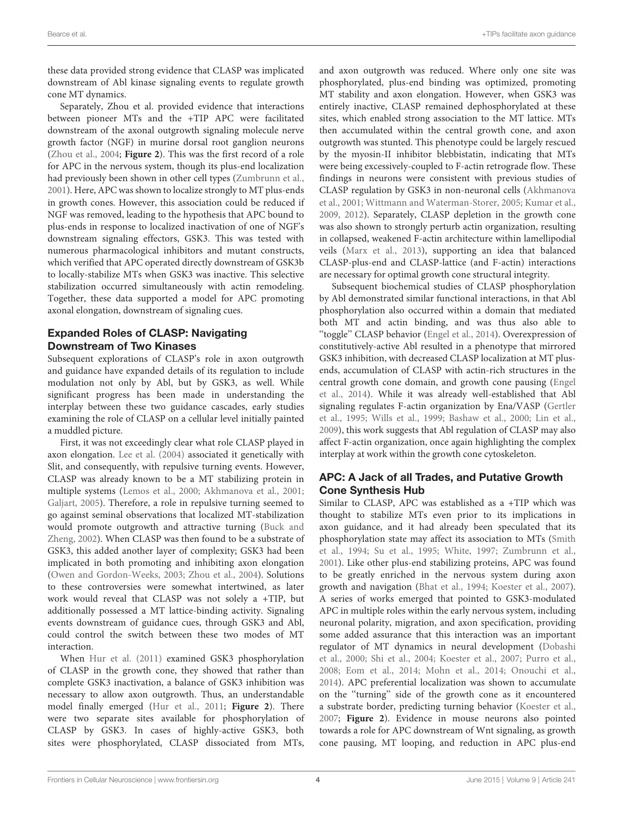these data provided strong evidence that CLASP was implicated downstream of Abl kinase signaling events to regulate growth cone MT dynamics.

Separately, Zhou et al. provided evidence that interactions between pioneer MTs and the +TIP APC were facilitated downstream of the axonal outgrowth signaling molecule nerve growth factor (NGF) in murine dorsal root ganglion neurons [\(Zhou et al.,](#page-11-3) [2004;](#page-11-3) **[Figure 2](#page-2-0)**). This was the first record of a role for APC in the nervous system, though its plus-end localization had previously been shown in other cell types [\(Zumbrunn et al.,](#page-11-4) [2001\)](#page-11-4). Here, APC was shown to localize strongly to MT plus-ends in growth cones. However, this association could be reduced if NGF was removed, leading to the hypothesis that APC bound to plus-ends in response to localized inactivation of one of NGF's downstream signaling effectors, GSK3. This was tested with numerous pharmacological inhibitors and mutant constructs, which verified that APC operated directly downstream of GSK3b to locally-stabilize MTs when GSK3 was inactive. This selective stabilization occurred simultaneously with actin remodeling. Together, these data supported a model for APC promoting axonal elongation, downstream of signaling cues.

# Expanded Roles of CLASP: Navigating Downstream of Two Kinases

Subsequent explorations of CLASP's role in axon outgrowth and guidance have expanded details of its regulation to include modulation not only by Abl, but by GSK3, as well. While significant progress has been made in understanding the interplay between these two guidance cascades, early studies examining the role of CLASP on a cellular level initially painted a muddled picture.

First, it was not exceedingly clear what role CLASP played in axon elongation. [Lee et al.](#page-9-4) [\(2004\)](#page-9-4) associated it genetically with Slit, and consequently, with repulsive turning events. However, CLASP was already known to be a MT stabilizing protein in multiple systems [\(Lemos et al.,](#page-10-2) [2000;](#page-10-2) [Akhmanova et al.,](#page-8-2) [2001;](#page-8-2) [Galjart,](#page-9-5) [2005\)](#page-9-5). Therefore, a role in repulsive turning seemed to go against seminal observations that localized MT-stabilization would promote outgrowth and attractive turning [\(Buck and](#page-9-3) [Zheng,](#page-9-3) [2002\)](#page-9-3). When CLASP was then found to be a substrate of GSK3, this added another layer of complexity; GSK3 had been implicated in both promoting and inhibiting axon elongation [\(Owen and Gordon-Weeks,](#page-10-3) [2003;](#page-10-3) [Zhou et al.,](#page-11-3) [2004\)](#page-11-3). Solutions to these controversies were somewhat intertwined, as later work would reveal that CLASP was not solely a +TIP, but additionally possessed a MT lattice-binding activity. Signaling events downstream of guidance cues, through GSK3 and Abl, could control the switch between these two modes of MT interaction.

When [Hur et al.](#page-9-6) [\(2011\)](#page-9-6) examined GSK3 phosphorylation of CLASP in the growth cone, they showed that rather than complete GSK3 inactivation, a balance of GSK3 inhibition was necessary to allow axon outgrowth. Thus, an understandable model finally emerged [\(Hur et al.,](#page-9-6) [2011;](#page-9-6) **[Figure 2](#page-2-0)**). There were two separate sites available for phosphorylation of CLASP by GSK3. In cases of highly-active GSK3, both sites were phosphorylated, CLASP dissociated from MTs, and axon outgrowth was reduced. Where only one site was phosphorylated, plus-end binding was optimized, promoting MT stability and axon elongation. However, when GSK3 was entirely inactive, CLASP remained dephosphorylated at these sites, which enabled strong association to the MT lattice. MTs then accumulated within the central growth cone, and axon outgrowth was stunted. This phenotype could be largely rescued by the myosin-II inhibitor blebbistatin, indicating that MTs were being excessively-coupled to F-actin retrograde flow. These findings in neurons were consistent with previous studies of CLASP regulation by GSK3 in non-neuronal cells [\(Akhmanova](#page-8-2) [et al.,](#page-8-2) [2001;](#page-8-2) [Wittmann and Waterman-Storer,](#page-11-5) [2005;](#page-11-5) [Kumar et al.,](#page-9-7) [2009,](#page-9-7) [2012\)](#page-9-8). Separately, CLASP depletion in the growth cone was also shown to strongly perturb actin organization, resulting in collapsed, weakened F-actin architecture within lamellipodial veils [\(Marx et al.,](#page-10-4) [2013\)](#page-10-4), supporting an idea that balanced CLASP-plus-end and CLASP-lattice (and F-actin) interactions are necessary for optimal growth cone structural integrity.

Subsequent biochemical studies of CLASP phosphorylation by Abl demonstrated similar functional interactions, in that Abl phosphorylation also occurred within a domain that mediated both MT and actin binding, and was thus also able to "toggle" CLASP behavior [\(Engel et al.,](#page-9-9) [2014\)](#page-9-9). Overexpression of constitutively-active Abl resulted in a phenotype that mirrored GSK3 inhibition, with decreased CLASP localization at MT plusends, accumulation of CLASP with actin-rich structures in the central growth cone domain, and growth cone pausing [\(Engel](#page-9-9) [et al.,](#page-9-9) [2014\)](#page-9-9). While it was already well-established that Abl signaling regulates F-actin organization by Ena/VASP [\(Gertler](#page-9-10) [et al.,](#page-9-10) [1995;](#page-9-10) [Wills et al.,](#page-11-6) [1999;](#page-11-6) [Bashaw et al.,](#page-8-3) [2000;](#page-8-3) [Lin et al.,](#page-10-5) [2009\)](#page-10-5), this work suggests that Abl regulation of CLASP may also affect F-actin organization, once again highlighting the complex interplay at work within the growth cone cytoskeleton.

# APC: A Jack of all Trades, and Putative Growth Cone Synthesis Hub

Similar to CLASP, APC was established as a +TIP which was thought to stabilize MTs even prior to its implications in axon guidance, and it had already been speculated that its phosphorylation state may affect its association to MTs [\(Smith](#page-11-7) [et al.,](#page-11-7) [1994;](#page-11-7) [Su et al.,](#page-11-8) [1995;](#page-11-8) [White,](#page-11-9) [1997;](#page-11-9) [Zumbrunn et al.,](#page-11-4) [2001\)](#page-11-4). Like other plus-end stabilizing proteins, APC was found to be greatly enriched in the nervous system during axon growth and navigation [\(Bhat et al.,](#page-9-11) [1994;](#page-9-11) [Koester et al.,](#page-9-12) [2007\)](#page-9-12). A series of works emerged that pointed to GSK3-modulated APC in multiple roles within the early nervous system, including neuronal polarity, migration, and axon specification, providing some added assurance that this interaction was an important regulator of MT dynamics in neural development [\(Dobashi](#page-9-13) [et al.,](#page-9-13) [2000;](#page-9-13) [Shi et al.,](#page-11-10) [2004;](#page-11-10) [Koester et al.,](#page-9-12) [2007;](#page-9-12) [Purro et al.,](#page-10-6) [2008;](#page-10-6) [Eom et al.,](#page-9-14) [2014;](#page-9-14) [Mohn et al.,](#page-10-7) [2014;](#page-10-7) [Onouchi et al.,](#page-10-8) [2014\)](#page-10-8). APC preferential localization was shown to accumulate on the ''turning'' side of the growth cone as it encountered a substrate border, predicting turning behavior [\(Koester et al.,](#page-9-12) [2007;](#page-9-12) **[Figure 2](#page-2-0)**). Evidence in mouse neurons also pointed towards a role for APC downstream of Wnt signaling, as growth cone pausing, MT looping, and reduction in APC plus-end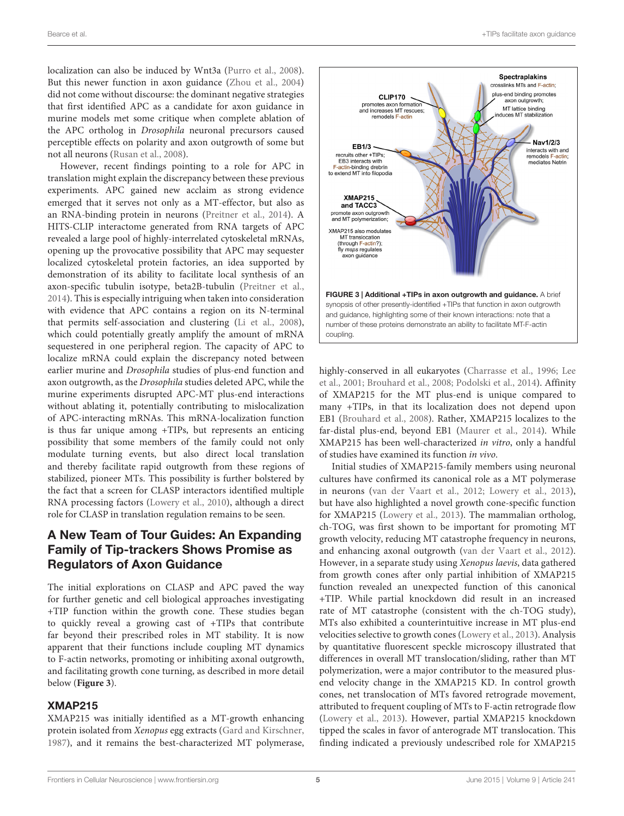localization can also be induced by Wnt3a [\(Purro et al.,](#page-10-6) [2008\)](#page-10-6). But this newer function in axon guidance [\(Zhou et al.,](#page-11-3) [2004\)](#page-11-3) did not come without discourse: the dominant negative strategies that first identified APC as a candidate for axon guidance in murine models met some critique when complete ablation of the APC ortholog in Drosophila neuronal precursors caused perceptible effects on polarity and axon outgrowth of some but not all neurons [\(Rusan et al.,](#page-10-9) [2008\)](#page-10-9).

However, recent findings pointing to a role for APC in translation might explain the discrepancy between these previous experiments. APC gained new acclaim as strong evidence emerged that it serves not only as a MT-effector, but also as an RNA-binding protein in neurons [\(Preitner et al.,](#page-10-10) [2014\)](#page-10-10). A HITS-CLIP interactome generated from RNA targets of APC revealed a large pool of highly-interrelated cytoskeletal mRNAs, opening up the provocative possibility that APC may sequester localized cytoskeletal protein factories, an idea supported by demonstration of its ability to facilitate local synthesis of an axon-specific tubulin isotype, beta2B-tubulin [\(Preitner et al.,](#page-10-10) [2014\)](#page-10-10). This is especially intriguing when taken into consideration with evidence that APC contains a region on its N-terminal that permits self-association and clustering [\(Li et al.,](#page-10-11) [2008\)](#page-10-11), which could potentially greatly amplify the amount of mRNA sequestered in one peripheral region. The capacity of APC to localize mRNA could explain the discrepancy noted between earlier murine and Drosophila studies of plus-end function and axon outgrowth, as the Drosophila studies deleted APC, while the murine experiments disrupted APC-MT plus-end interactions without ablating it, potentially contributing to mislocalization of APC-interacting mRNAs. This mRNA-localization function is thus far unique among +TIPs, but represents an enticing possibility that some members of the family could not only modulate turning events, but also direct local translation and thereby facilitate rapid outgrowth from these regions of stabilized, pioneer MTs. This possibility is further bolstered by the fact that a screen for CLASP interactors identified multiple RNA processing factors [\(Lowery et al.,](#page-10-12) [2010\)](#page-10-12), although a direct role for CLASP in translation regulation remains to be seen.

# A New Team of Tour Guides: An Expanding Family of Tip-trackers Shows Promise as Regulators of Axon Guidance

The initial explorations on CLASP and APC paved the way for further genetic and cell biological approaches investigating +TIP function within the growth cone. These studies began to quickly reveal a growing cast of +TIPs that contribute far beyond their prescribed roles in MT stability. It is now apparent that their functions include coupling MT dynamics to F-actin networks, promoting or inhibiting axonal outgrowth, and facilitating growth cone turning, as described in more detail below (**[Figure 3](#page-4-0)**).

#### XMAP215

XMAP215 was initially identified as a MT-growth enhancing protein isolated from Xenopus egg extracts [\(Gard and Kirschner,](#page-9-15) [1987\)](#page-9-15), and it remains the best-characterized MT polymerase,



<span id="page-4-0"></span>highly-conserved in all eukaryotes [\(Charrasse et al.,](#page-9-16) [1996;](#page-9-16) [Lee](#page-9-17) [et al.,](#page-9-17) [2001;](#page-9-17) [Brouhard et al.,](#page-9-18) [2008;](#page-9-18) [Podolski et al.,](#page-10-13) [2014\)](#page-10-13). Affinity of XMAP215 for the MT plus-end is unique compared to many +TIPs, in that its localization does not depend upon EB1 [\(Brouhard et al.,](#page-9-18) [2008\)](#page-9-18). Rather, XMAP215 localizes to the far-distal plus-end, beyond EB1 [\(Maurer et al.,](#page-10-14) [2014\)](#page-10-14). While XMAP215 has been well-characterized in vitro, only a handful of studies have examined its function in vivo.

Initial studies of XMAP215-family members using neuronal cultures have confirmed its canonical role as a MT polymerase in neurons [\(van der Vaart et al.,](#page-11-11) [2012;](#page-11-11) [Lowery et al.,](#page-10-15) [2013\)](#page-10-15), but have also highlighted a novel growth cone-specific function for XMAP215 [\(Lowery et al.,](#page-10-15) [2013\)](#page-10-15). The mammalian ortholog, ch-TOG, was first shown to be important for promoting MT growth velocity, reducing MT catastrophe frequency in neurons, and enhancing axonal outgrowth [\(van der Vaart et al.,](#page-11-11) [2012\)](#page-11-11). However, in a separate study using Xenopus laevis, data gathered from growth cones after only partial inhibition of XMAP215 function revealed an unexpected function of this canonical +TIP. While partial knockdown did result in an increased rate of MT catastrophe (consistent with the ch-TOG study), MTs also exhibited a counterintuitive increase in MT plus-end velocities selective to growth cones [\(Lowery et al.,](#page-10-15) [2013\)](#page-10-15). Analysis by quantitative fluorescent speckle microscopy illustrated that differences in overall MT translocation/sliding, rather than MT polymerization, were a major contributor to the measured plusend velocity change in the XMAP215 KD. In control growth cones, net translocation of MTs favored retrograde movement, attributed to frequent coupling of MTs to F-actin retrograde flow [\(Lowery et al.,](#page-10-15) [2013\)](#page-10-15). However, partial XMAP215 knockdown tipped the scales in favor of anterograde MT translocation. This finding indicated a previously undescribed role for XMAP215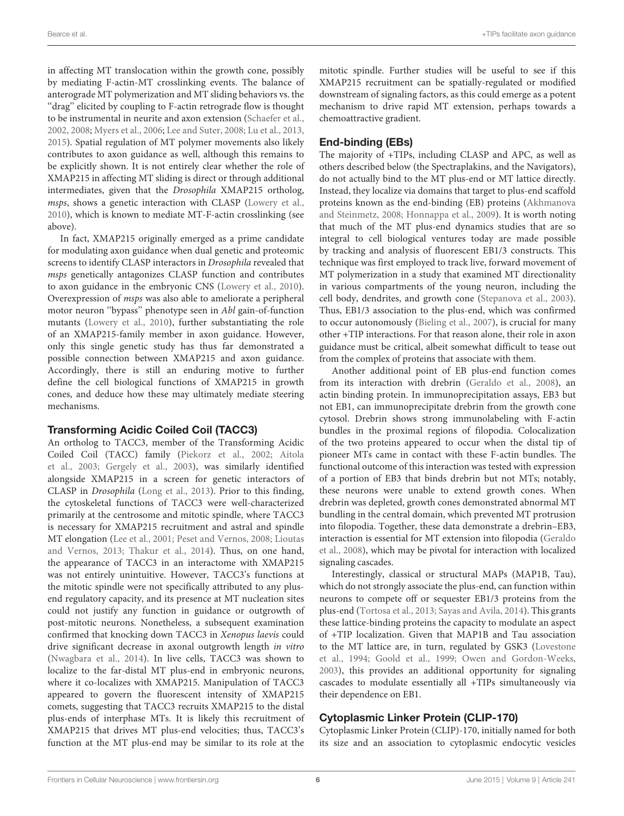in affecting MT translocation within the growth cone, possibly by mediating F-actin-MT crosslinking events. The balance of anterograde MT polymerization and MT sliding behaviors vs. the "drag" elicited by coupling to F-actin retrograde flow is thought to be instrumental in neurite and axon extension [\(Schaefer et al.,](#page-11-0) [2002,](#page-11-0) [2008;](#page-11-12) [Myers et al.,](#page-10-16) [2006;](#page-10-16) [Lee and Suter,](#page-10-17) [2008;](#page-10-17) [Lu et al.,](#page-10-18) [2013,](#page-10-18) [2015\)](#page-10-19). Spatial regulation of MT polymer movements also likely contributes to axon guidance as well, although this remains to be explicitly shown. It is not entirely clear whether the role of XMAP215 in affecting MT sliding is direct or through additional intermediates, given that the Drosophila XMAP215 ortholog, msps, shows a genetic interaction with CLASP [\(Lowery et al.,](#page-10-12) [2010\)](#page-10-12), which is known to mediate MT-F-actin crosslinking (see above).

In fact, XMAP215 originally emerged as a prime candidate for modulating axon guidance when dual genetic and proteomic screens to identify CLASP interactors in Drosophila revealed that msps genetically antagonizes CLASP function and contributes to axon guidance in the embryonic CNS [\(Lowery et al.,](#page-10-12) [2010\)](#page-10-12). Overexpression of msps was also able to ameliorate a peripheral motor neuron ''bypass'' phenotype seen in Abl gain-of-function mutants [\(Lowery et al.,](#page-10-12) [2010\)](#page-10-12), further substantiating the role of an XMAP215-family member in axon guidance. However, only this single genetic study has thus far demonstrated a possible connection between XMAP215 and axon guidance. Accordingly, there is still an enduring motive to further define the cell biological functions of XMAP215 in growth cones, and deduce how these may ultimately mediate steering mechanisms.

# Transforming Acidic Coiled Coil (TACC3)

An ortholog to TACC3, member of the Transforming Acidic Coiled Coil (TACC) family [\(Piekorz et al.,](#page-10-20) [2002;](#page-10-20) [Aitola](#page-8-4) [et al.,](#page-8-4) [2003;](#page-8-4) [Gergely et al.,](#page-9-19) [2003\)](#page-9-19), was similarly identified alongside XMAP215 in a screen for genetic interactors of CLASP in Drosophila [\(Long et al.,](#page-10-21) [2013\)](#page-10-21). Prior to this finding, the cytoskeletal functions of TACC3 were well-characterized primarily at the centrosome and mitotic spindle, where TACC3 is necessary for XMAP215 recruitment and astral and spindle MT elongation [\(Lee et al.,](#page-9-17) [2001;](#page-9-17) [Peset and Vernos,](#page-10-22) [2008;](#page-10-22) [Lioutas](#page-10-23) [and Vernos,](#page-10-23) [2013;](#page-10-23) [Thakur et al.,](#page-11-13) [2014\)](#page-11-13). Thus, on one hand, the appearance of TACC3 in an interactome with XMAP215 was not entirely unintuitive. However, TACC3's functions at the mitotic spindle were not specifically attributed to any plusend regulatory capacity, and its presence at MT nucleation sites could not justify any function in guidance or outgrowth of post-mitotic neurons. Nonetheless, a subsequent examination confirmed that knocking down TACC3 in Xenopus laevis could drive significant decrease in axonal outgrowth length in vitro [\(Nwagbara et al.,](#page-10-24) [2014\)](#page-10-24). In live cells, TACC3 was shown to localize to the far-distal MT plus-end in embryonic neurons, where it co-localizes with XMAP215. Manipulation of TACC3 appeared to govern the fluorescent intensity of XMAP215 comets, suggesting that TACC3 recruits XMAP215 to the distal plus-ends of interphase MTs. It is likely this recruitment of XMAP215 that drives MT plus-end velocities; thus, TACC3's function at the MT plus-end may be similar to its role at the

mitotic spindle. Further studies will be useful to see if this XMAP215 recruitment can be spatially-regulated or modified downstream of signaling factors, as this could emerge as a potent mechanism to drive rapid MT extension, perhaps towards a chemoattractive gradient.

# End-binding (EBs)

The majority of +TIPs, including CLASP and APC, as well as others described below (the Spectraplakins, and the Navigators), do not actually bind to the MT plus-end or MT lattice directly. Instead, they localize via domains that target to plus-end scaffold proteins known as the end-binding (EB) proteins [\(Akhmanova](#page-8-1) [and Steinmetz,](#page-8-1) [2008;](#page-8-1) [Honnappa et al.,](#page-9-20) [2009\)](#page-9-20). It is worth noting that much of the MT plus-end dynamics studies that are so integral to cell biological ventures today are made possible by tracking and analysis of fluorescent EB1/3 constructs. This technique was first employed to track live, forward movement of MT polymerization in a study that examined MT directionality in various compartments of the young neuron, including the cell body, dendrites, and growth cone [\(Stepanova et al.,](#page-11-14) [2003\)](#page-11-14). Thus, EB1/3 association to the plus-end, which was confirmed to occur autonomously [\(Bieling et al.,](#page-9-21) [2007\)](#page-9-21), is crucial for many other +TIP interactions. For that reason alone, their role in axon guidance must be critical, albeit somewhat difficult to tease out from the complex of proteins that associate with them.

Another additional point of EB plus-end function comes from its interaction with drebrin [\(Geraldo et al.,](#page-9-22) [2008\)](#page-9-22), an actin binding protein. In immunoprecipitation assays, EB3 but not EB1, can immunoprecipitate drebrin from the growth cone cytosol. Drebrin shows strong immunolabeling with F-actin bundles in the proximal regions of filopodia. Colocalization of the two proteins appeared to occur when the distal tip of pioneer MTs came in contact with these F-actin bundles. The functional outcome of this interaction was tested with expression of a portion of EB3 that binds drebrin but not MTs; notably, these neurons were unable to extend growth cones. When drebrin was depleted, growth cones demonstrated abnormal MT bundling in the central domain, which prevented MT protrusion into filopodia. Together, these data demonstrate a drebrin–EB3, interaction is essential for MT extension into filopodia [\(Geraldo](#page-9-22) [et al.,](#page-9-22) [2008\)](#page-9-22), which may be pivotal for interaction with localized signaling cascades.

Interestingly, classical or structural MAPs (MAP1B, Tau), which do not strongly associate the plus-end, can function within neurons to compete off or sequester EB1/3 proteins from the plus-end [\(Tortosa et al.,](#page-11-15) [2013;](#page-11-15) [Sayas and Avila,](#page-11-16) [2014\)](#page-11-16). This grants these lattice-binding proteins the capacity to modulate an aspect of +TIP localization. Given that MAP1B and Tau association to the MT lattice are, in turn, regulated by GSK3 [\(Lovestone](#page-10-25) [et al.,](#page-10-25) [1994;](#page-10-25) [Goold et al.,](#page-9-23) [1999;](#page-9-23) [Owen and Gordon-Weeks,](#page-10-3) [2003\)](#page-10-3), this provides an additional opportunity for signaling cascades to modulate essentially all +TIPs simultaneously via their dependence on EB1.

# Cytoplasmic Linker Protein (CLIP-170)

Cytoplasmic Linker Protein (CLIP)-170, initially named for both its size and an association to cytoplasmic endocytic vesicles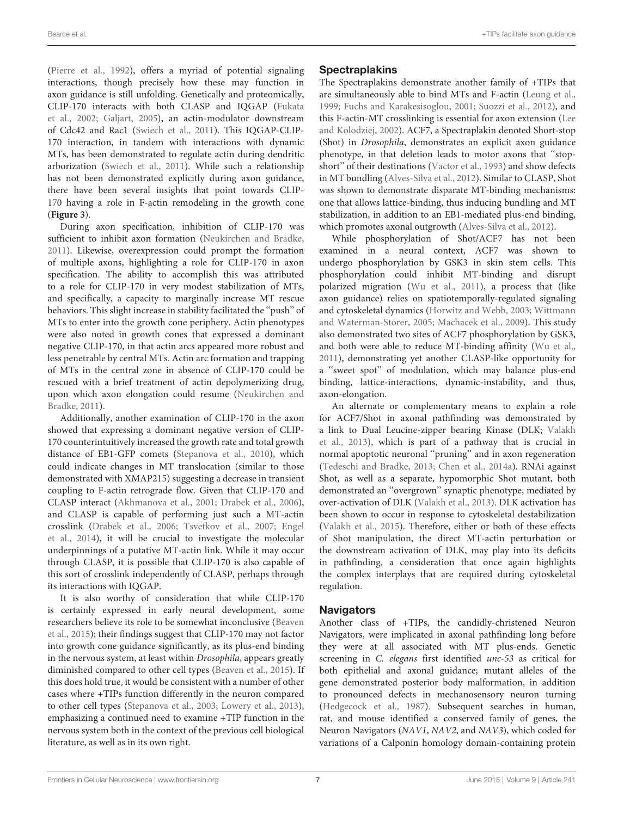[\(Pierre et al.,](#page-10-26) [1992\)](#page-10-26), offers a myriad of potential signaling interactions, though precisely how these may function in axon guidance is still unfolding. Genetically and proteomically, CLIP-170 interacts with both CLASP and IQGAP [\(Fukata](#page-9-24) [et al.,](#page-9-24) [2002;](#page-9-24) [Galjart,](#page-9-5) [2005\)](#page-9-5), an actin-modulator downstream of Cdc42 and Rac1 [\(Swiech et al.,](#page-11-17) [2011\)](#page-11-17). This IQGAP-CLIP-170 interaction, in tandem with interactions with dynamic MTs, has been demonstrated to regulate actin during dendritic arborization [\(Swiech et al.,](#page-11-17) [2011\)](#page-11-17). While such a relationship has not been demonstrated explicitly during axon guidance, there have been several insights that point towards CLIP-170 having a role in F-actin remodeling in the growth cone (**[Figure 3](#page-4-0)**).

During axon specification, inhibition of CLIP-170 was sufficient to inhibit axon formation [\(Neukirchen and Bradke,](#page-10-27) [2011\)](#page-10-27). Likewise, overexpression could prompt the formation of multiple axons, highlighting a role for CLIP-170 in axon specification. The ability to accomplish this was attributed to a role for CLIP-170 in very modest stabilization of MTs, and specifically, a capacity to marginally increase MT rescue behaviors. This slight increase in stability facilitated the ''push'' of MTs to enter into the growth cone periphery. Actin phenotypes were also noted in growth cones that expressed a dominant negative CLIP-170, in that actin arcs appeared more robust and less penetrable by central MTs. Actin arc formation and trapping of MTs in the central zone in absence of CLIP-170 could be rescued with a brief treatment of actin depolymerizing drug, upon which axon elongation could resume [\(Neukirchen and](#page-10-27) [Bradke,](#page-10-27) [2011\)](#page-10-27).

Additionally, another examination of CLIP-170 in the axon showed that expressing a dominant negative version of CLIP-170 counterintuitively increased the growth rate and total growth distance of EB1-GFP comets [\(Stepanova et al.,](#page-11-18) [2010\)](#page-11-18), which could indicate changes in MT translocation (similar to those demonstrated with XMAP215) suggesting a decrease in transient coupling to F-actin retrograde flow. Given that CLIP-170 and CLASP interact [\(Akhmanova et al.,](#page-8-2) [2001;](#page-8-2) [Drabek et al.,](#page-9-25) [2006\)](#page-9-25), and CLASP is capable of performing just such a MT-actin crosslink [\(Drabek et al.,](#page-9-25) [2006;](#page-9-25) [Tsvetkov et al.,](#page-11-19) [2007;](#page-11-19) [Engel](#page-9-9) [et al.,](#page-9-9) [2014\)](#page-9-9), it will be crucial to investigate the molecular underpinnings of a putative MT-actin link. While it may occur through CLASP, it is possible that CLIP-170 is also capable of this sort of crosslink independently of CLASP, perhaps through its interactions with IQGAP.

It is also worthy of consideration that while CLIP-170 is certainly expressed in early neural development, some researchers believe its role to be somewhat inconclusive [\(Beaven](#page-8-5) [et al.,](#page-8-5) [2015\)](#page-8-5); their findings suggest that CLIP-170 may not factor into growth cone guidance significantly, as its plus-end binding in the nervous system, at least within Drosophila, appears greatly diminished compared to other cell types [\(Beaven et al.,](#page-8-5) [2015\)](#page-8-5). If this does hold true, it would be consistent with a number of other cases where +TIPs function differently in the neuron compared to other cell types [\(Stepanova et al.,](#page-11-14) [2003;](#page-11-14) [Lowery et al.,](#page-10-15) [2013\)](#page-10-15), emphasizing a continued need to examine +TIP function in the nervous system both in the context of the previous cell biological literature, as well as in its own right.

# **Spectraplakins**

The Spectraplakins demonstrate another family of +TIPs that are simultaneously able to bind MTs and F-actin [\(Leung et al.,](#page-10-28) [1999;](#page-10-28) [Fuchs and Karakesisoglou,](#page-9-26) [2001;](#page-9-26) [Suozzi et al.,](#page-11-20) [2012\)](#page-11-20), and this F-actin-MT crosslinking is essential for axon extension [\(Lee](#page-9-27) [and Kolodziej,](#page-9-27) [2002\)](#page-9-27). ACF7, a Spectraplakin denoted Short-stop (Shot) in Drosophila, demonstrates an explicit axon guidance phenotype, in that deletion leads to motor axons that ''stopshort'' of their destinations [\(Vactor et al.,](#page-11-21) [1993\)](#page-11-21) and show defects in MT bundling [\(Alves-Silva et al.,](#page-8-6) [2012\)](#page-8-6). Similar to CLASP, Shot was shown to demonstrate disparate MT-binding mechanisms: one that allows lattice-binding, thus inducing bundling and MT stabilization, in addition to an EB1-mediated plus-end binding, which promotes axonal outgrowth [\(Alves-Silva et al.,](#page-8-6) [2012\)](#page-8-6).

While phosphorylation of Shot/ACF7 has not been examined in a neural context, ACF7 was shown to undergo phosphorylation by GSK3 in skin stem cells. This phosphorylation could inhibit MT-binding and disrupt polarized migration [\(Wu et al.,](#page-11-22) [2011\)](#page-11-22), a process that (like axon guidance) relies on spatiotemporally-regulated signaling and cytoskeletal dynamics [\(Horwitz and Webb,](#page-9-28) [2003;](#page-9-28) [Wittmann](#page-11-5) [and Waterman-Storer,](#page-11-5) [2005;](#page-11-5) [Machacek et al.,](#page-10-29) [2009\)](#page-10-29). This study also demonstrated two sites of ACF7 phosphorylation by GSK3, and both were able to reduce MT-binding affinity [\(Wu et al.,](#page-11-22) [2011\)](#page-11-22), demonstrating yet another CLASP-like opportunity for a ''sweet spot'' of modulation, which may balance plus-end binding, lattice-interactions, dynamic-instability, and thus, axon-elongation.

An alternate or complementary means to explain a role for ACF7/Shot in axonal pathfinding was demonstrated by a link to Dual Leucine-zipper bearing Kinase (DLK; [Valakh](#page-11-23) [et al.,](#page-11-23) [2013\)](#page-11-23), which is part of a pathway that is crucial in normal apoptotic neuronal ''pruning'' and in axon regeneration [\(Tedeschi and Bradke,](#page-11-24) [2013;](#page-11-24) [Chen et al.,](#page-9-29) [2014a\)](#page-9-29). RNAi against Shot, as well as a separate, hypomorphic Shot mutant, both demonstrated an ''overgrown'' synaptic phenotype, mediated by over-activation of DLK [\(Valakh et al.,](#page-11-23) [2013\)](#page-11-23). DLK activation has been shown to occur in response to cytoskeletal destabilization [\(Valakh et al.,](#page-11-25) [2015\)](#page-11-25). Therefore, either or both of these effects of Shot manipulation, the direct MT-actin perturbation or the downstream activation of DLK, may play into its deficits in pathfinding, a consideration that once again highlights the complex interplays that are required during cytoskeletal regulation.

# **Navigators**

Another class of +TIPs, the candidly-christened Neuron Navigators, were implicated in axonal pathfinding long before they were at all associated with MT plus-ends. Genetic screening in C. elegans first identified unc-53 as critical for both epithelial and axonal guidance; mutant alleles of the gene demonstrated posterior body malformation, in addition to pronounced defects in mechanosensory neuron turning [\(Hedgecock et al.,](#page-9-30) [1987\)](#page-9-30). Subsequent searches in human, rat, and mouse identified a conserved family of genes, the Neuron Navigators (NAV1, NAV2, and NAV3), which coded for variations of a Calponin homology domain-containing protein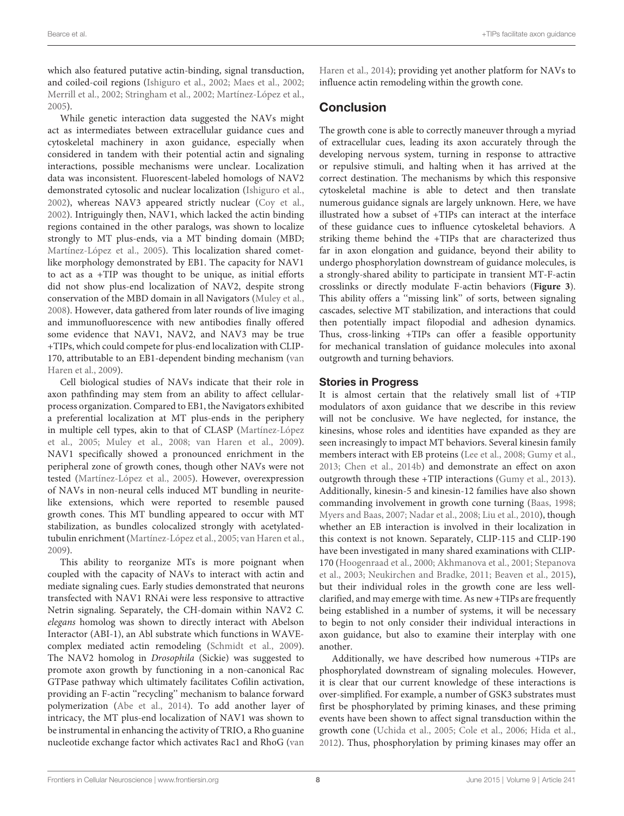which also featured putative actin-binding, signal transduction, and coiled-coil regions [\(Ishiguro et al.,](#page-9-31) [2002;](#page-9-31) [Maes et al.,](#page-10-30) [2002;](#page-10-30) [Merrill et al.,](#page-10-31) [2002;](#page-10-31) [Stringham et al.,](#page-11-26) [2002;](#page-11-26) [Martínez-López et al.,](#page-10-32) [2005\)](#page-10-32).

While genetic interaction data suggested the NAVs might act as intermediates between extracellular guidance cues and cytoskeletal machinery in axon guidance, especially when considered in tandem with their potential actin and signaling interactions, possible mechanisms were unclear. Localization data was inconsistent. Fluorescent-labeled homologs of NAV2 demonstrated cytosolic and nuclear localization [\(Ishiguro et al.,](#page-9-31) [2002\)](#page-9-31), whereas NAV3 appeared strictly nuclear [\(Coy et al.,](#page-9-32) [2002\)](#page-9-32). Intriguingly then, NAV1, which lacked the actin binding regions contained in the other paralogs, was shown to localize strongly to MT plus-ends, via a MT binding domain (MBD; [Martínez-López et al.,](#page-10-32) [2005\)](#page-10-32). This localization shared cometlike morphology demonstrated by EB1. The capacity for NAV1 to act as a +TIP was thought to be unique, as initial efforts did not show plus-end localization of NAV2, despite strong conservation of the MBD domain in all Navigators [\(Muley et al.,](#page-10-33) [2008\)](#page-10-33). However, data gathered from later rounds of live imaging and immunofluorescence with new antibodies finally offered some evidence that NAV1, NAV2, and NAV3 may be true +TIPs, which could compete for plus-end localization with CLIP-170, attributable to an EB1-dependent binding mechanism [\(van](#page-11-27) [Haren et al.,](#page-11-27) [2009\)](#page-11-27).

Cell biological studies of NAVs indicate that their role in axon pathfinding may stem from an ability to affect cellularprocess organization. Compared to EB1, the Navigators exhibited a preferential localization at MT plus-ends in the periphery in multiple cell types, akin to that of CLASP [\(Martínez-López](#page-10-32) [et al.,](#page-10-32) [2005;](#page-10-32) [Muley et al.,](#page-10-33) [2008;](#page-10-33) [van Haren et al.,](#page-11-27) [2009\)](#page-11-27). NAV1 specifically showed a pronounced enrichment in the peripheral zone of growth cones, though other NAVs were not tested [\(Martínez-López et al.,](#page-10-32) [2005\)](#page-10-32). However, overexpression of NAVs in non-neural cells induced MT bundling in neuritelike extensions, which were reported to resemble paused growth cones. This MT bundling appeared to occur with MT stabilization, as bundles colocalized strongly with acetylatedtubulin enrichment [\(Martínez-López et al.,](#page-10-32) [2005;](#page-10-32) [van Haren et al.,](#page-11-27) [2009\)](#page-11-27).

This ability to reorganize MTs is more poignant when coupled with the capacity of NAVs to interact with actin and mediate signaling cues. Early studies demonstrated that neurons transfected with NAV1 RNAi were less responsive to attractive Netrin signaling. Separately, the CH-domain within NAV2 C. elegans homolog was shown to directly interact with Abelson Interactor (ABI-1), an Abl substrate which functions in WAVEcomplex mediated actin remodeling [\(Schmidt et al.,](#page-11-28) [2009\)](#page-11-28). The NAV2 homolog in Drosophila (Sickie) was suggested to promote axon growth by functioning in a non-canonical Rac GTPase pathway which ultimately facilitates Cofilin activation, providing an F-actin ''recycling'' mechanism to balance forward polymerization [\(Abe et al.,](#page-8-7) [2014\)](#page-8-7). To add another layer of intricacy, the MT plus-end localization of NAV1 was shown to be instrumental in enhancing the activity of TRIO, a Rho guanine nucleotide exchange factor which activates Rac1 and RhoG [\(van](#page-11-29) [Haren et al.,](#page-11-29) [2014\)](#page-11-29); providing yet another platform for NAVs to influence actin remodeling within the growth cone.

# Conclusion

The growth cone is able to correctly maneuver through a myriad of extracellular cues, leading its axon accurately through the developing nervous system, turning in response to attractive or repulsive stimuli, and halting when it has arrived at the correct destination. The mechanisms by which this responsive cytoskeletal machine is able to detect and then translate numerous guidance signals are largely unknown. Here, we have illustrated how a subset of +TIPs can interact at the interface of these guidance cues to influence cytoskeletal behaviors. A striking theme behind the +TIPs that are characterized thus far in axon elongation and guidance, beyond their ability to undergo phosphorylation downstream of guidance molecules, is a strongly-shared ability to participate in transient MT-F-actin crosslinks or directly modulate F-actin behaviors (**[Figure 3](#page-4-0)**). This ability offers a ''missing link'' of sorts, between signaling cascades, selective MT stabilization, and interactions that could then potentially impact filopodial and adhesion dynamics. Thus, cross-linking +TIPs can offer a feasible opportunity for mechanical translation of guidance molecules into axonal outgrowth and turning behaviors.

# Stories in Progress

It is almost certain that the relatively small list of +TIP modulators of axon guidance that we describe in this review will not be conclusive. We have neglected, for instance, the kinesins, whose roles and identities have expanded as they are seen increasingly to impact MT behaviors. Several kinesin family members interact with EB proteins [\(Lee et al.,](#page-9-33) [2008;](#page-9-33) [Gumy et al.,](#page-9-34) [2013;](#page-9-34) [Chen et al.,](#page-9-35) [2014b\)](#page-9-35) and demonstrate an effect on axon outgrowth through these +TIP interactions [\(Gumy et al.,](#page-9-34) [2013\)](#page-9-34). Additionally, kinesin-5 and kinesin-12 families have also shown commanding involvement in growth cone turning [\(Baas,](#page-8-8) [1998;](#page-8-8) [Myers and Baas,](#page-10-34) [2007;](#page-10-34) [Nadar et al.,](#page-10-35) [2008;](#page-10-35) [Liu et al.,](#page-10-36) [2010\)](#page-10-36), though whether an EB interaction is involved in their localization in this context is not known. Separately, CLIP-115 and CLIP-190 have been investigated in many shared examinations with CLIP-170 [\(Hoogenraad et al.,](#page-9-36) [2000;](#page-9-36) [Akhmanova et al.,](#page-8-2) [2001;](#page-8-2) [Stepanova](#page-11-14) [et al.,](#page-11-14) [2003;](#page-11-14) [Neukirchen and Bradke,](#page-10-27) [2011;](#page-10-27) [Beaven et al.,](#page-8-5) [2015\)](#page-8-5), but their individual roles in the growth cone are less wellclarified, and may emerge with time. As new +TIPs are frequently being established in a number of systems, it will be necessary to begin to not only consider their individual interactions in axon guidance, but also to examine their interplay with one another.

Additionally, we have described how numerous +TIPs are phosphorylated downstream of signaling molecules. However, it is clear that our current knowledge of these interactions is over-simplified. For example, a number of GSK3 substrates must first be phosphorylated by priming kinases, and these priming events have been shown to affect signal transduction within the growth cone [\(Uchida et al.,](#page-11-30) [2005;](#page-11-30) [Cole et al.,](#page-9-37) [2006;](#page-9-37) [Hida et al.,](#page-9-38) [2012\)](#page-9-38). Thus, phosphorylation by priming kinases may offer an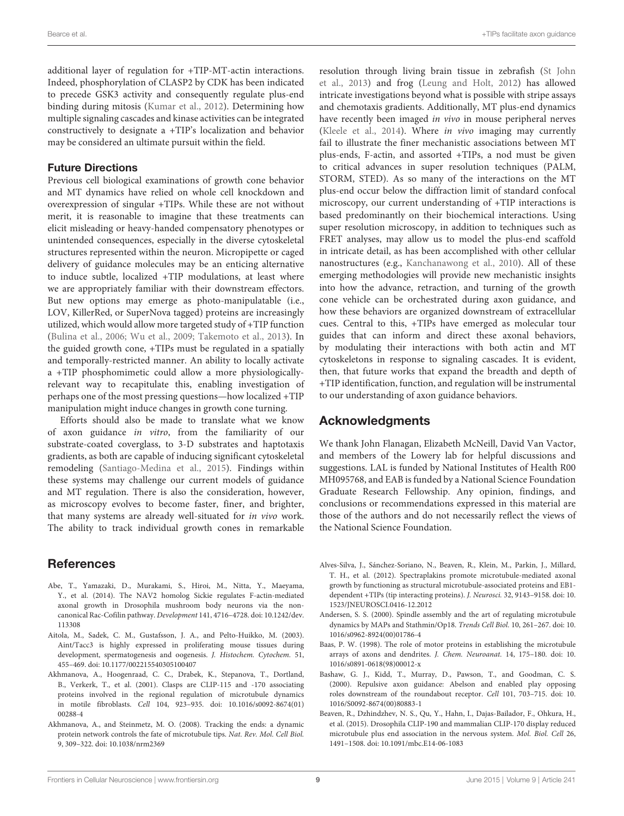additional layer of regulation for +TIP-MT-actin interactions. Indeed, phosphorylation of CLASP2 by CDK has been indicated to precede GSK3 activity and consequently regulate plus-end binding during mitosis [\(Kumar et al.,](#page-9-8) [2012\)](#page-9-8). Determining how multiple signaling cascades and kinase activities can be integrated constructively to designate a +TIP's localization and behavior may be considered an ultimate pursuit within the field.

### Future Directions

Previous cell biological examinations of growth cone behavior and MT dynamics have relied on whole cell knockdown and overexpression of singular +TIPs. While these are not without merit, it is reasonable to imagine that these treatments can elicit misleading or heavy-handed compensatory phenotypes or unintended consequences, especially in the diverse cytoskeletal structures represented within the neuron. Micropipette or caged delivery of guidance molecules may be an enticing alternative to induce subtle, localized +TIP modulations, at least where we are appropriately familiar with their downstream effectors. But new options may emerge as photo-manipulatable (i.e., LOV, KillerRed, or SuperNova tagged) proteins are increasingly utilized, which would allow more targeted study of +TIP function [\(Bulina et al.,](#page-9-39) [2006;](#page-9-39) [Wu et al.,](#page-11-31) [2009;](#page-11-31) [Takemoto et al.,](#page-11-32) [2013\)](#page-11-32). In the guided growth cone, +TIPs must be regulated in a spatially and temporally-restricted manner. An ability to locally activate a +TIP phosphomimetic could allow a more physiologicallyrelevant way to recapitulate this, enabling investigation of perhaps one of the most pressing questions—how localized +TIP manipulation might induce changes in growth cone turning.

Efforts should also be made to translate what we know of axon guidance in vitro, from the familiarity of our substrate-coated coverglass, to 3-D substrates and haptotaxis gradients, as both are capable of inducing significant cytoskeletal remodeling [\(Santiago-Medina et al.,](#page-11-33) [2015\)](#page-11-33). Findings within these systems may challenge our current models of guidance and MT regulation. There is also the consideration, however, as microscopy evolves to become faster, finer, and brighter, that many systems are already well-situated for in vivo work. The ability to track individual growth cones in remarkable

# References

- <span id="page-8-7"></span>Abe, T., Yamazaki, D., Murakami, S., Hiroi, M., Nitta, Y., Maeyama, Y., et al. (2014). The NAV2 homolog Sickie regulates F-actin-mediated axonal growth in Drosophila mushroom body neurons via the noncanonical Rac-Cofilin pathway. Development 141, 4716–4728. doi: 10.1242/dev. 113308
- <span id="page-8-4"></span>Aitola, M., Sadek, C. M., Gustafsson, J. A., and Pelto-Huikko, M. (2003). Aint/Tacc3 is highly expressed in proliferating mouse tissues during development, spermatogenesis and oogenesis. J. Histochem. Cytochem. 51, 455–469. doi: 10.1177/002215540305100407
- <span id="page-8-2"></span>Akhmanova, A., Hoogenraad, C. C., Drabek, K., Stepanova, T., Dortland, B., Verkerk, T., et al. (2001). Clasps are CLIP-115 and -170 associating proteins involved in the regional regulation of microtubule dynamics in motile fibroblasts. Cell 104, 923–935. doi: 10.1016/s0092-8674(01) 00288-4
- <span id="page-8-1"></span>Akhmanova, A., and Steinmetz, M. O. (2008). Tracking the ends: a dynamic protein network controls the fate of microtubule tips. Nat. Rev. Mol. Cell Biol. 9, 309–322. doi: 10.1038/nrm2369

resolution through living brain tissue in zebrafish [\(St John](#page-11-34) [et al.,](#page-11-34) [2013\)](#page-11-34) and frog [\(Leung and Holt,](#page-10-37) [2012\)](#page-10-37) has allowed intricate investigations beyond what is possible with stripe assays and chemotaxis gradients. Additionally, MT plus-end dynamics have recently been imaged *in vivo* in mouse peripheral nerves [\(Kleele et al.,](#page-9-40) [2014\)](#page-9-40). Where in vivo imaging may currently fail to illustrate the finer mechanistic associations between MT plus-ends, F-actin, and assorted +TIPs, a nod must be given to critical advances in super resolution techniques (PALM, STORM, STED). As so many of the interactions on the MT plus-end occur below the diffraction limit of standard confocal microscopy, our current understanding of +TIP interactions is based predominantly on their biochemical interactions. Using super resolution microscopy, in addition to techniques such as FRET analyses, may allow us to model the plus-end scaffold in intricate detail, as has been accomplished with other cellular nanostructures (e.g., [Kanchanawong et al.,](#page-9-41) [2010\)](#page-9-41). All of these emerging methodologies will provide new mechanistic insights into how the advance, retraction, and turning of the growth cone vehicle can be orchestrated during axon guidance, and how these behaviors are organized downstream of extracellular cues. Central to this, +TIPs have emerged as molecular tour guides that can inform and direct these axonal behaviors, by modulating their interactions with both actin and MT cytoskeletons in response to signaling cascades. It is evident, then, that future works that expand the breadth and depth of +TIP identification, function, and regulation will be instrumental to our understanding of axon guidance behaviors.

# Acknowledgments

We thank John Flanagan, Elizabeth McNeill, David Van Vactor, and members of the Lowery lab for helpful discussions and suggestions. LAL is funded by National Institutes of Health R00 MH095768, and EAB is funded by a National Science Foundation Graduate Research Fellowship. Any opinion, findings, and conclusions or recommendations expressed in this material are those of the authors and do not necessarily reflect the views of the National Science Foundation.

- <span id="page-8-6"></span>Alves-Silva, J., Sánchez-Soriano, N., Beaven, R., Klein, M., Parkin, J., Millard, T. H., et al. (2012). Spectraplakins promote microtubule-mediated axonal growth by functioning as structural microtubule-associated proteins and EB1 dependent +TIPs (tip interacting proteins). J. Neurosci. 32, 9143–9158. doi: 10. 1523/JNEUROSCI.0416-12.2012
- <span id="page-8-0"></span>Andersen, S. S. (2000). Spindle assembly and the art of regulating microtubule dynamics by MAPs and Stathmin/Op18. Trends Cell Biol. 10, 261–267. doi: 10. 1016/s0962-8924(00)01786-4
- <span id="page-8-8"></span>Baas, P. W. (1998). The role of motor proteins in establishing the microtubule arrays of axons and dendrites. J. Chem. Neuroanat. 14, 175–180. doi: 10. 1016/s0891-0618(98)00012-x
- <span id="page-8-3"></span>Bashaw, G. J., Kidd, T., Murray, D., Pawson, T., and Goodman, C. S. (2000). Repulsive axon guidance: Abelson and enabled play opposing roles downstream of the roundabout receptor. Cell 101, 703–715. doi: 10. 1016/S0092-8674(00)80883-1
- <span id="page-8-5"></span>Beaven, R., Dzhindzhev, N. S., Qu, Y., Hahn, I., Dajas-Bailador, F., Ohkura, H., et al. (2015). Drosophila CLIP-190 and mammalian CLIP-170 display reduced microtubule plus end association in the nervous system. Mol. Biol. Cell 26, 1491–1508. doi: 10.1091/mbc.E14-06-1083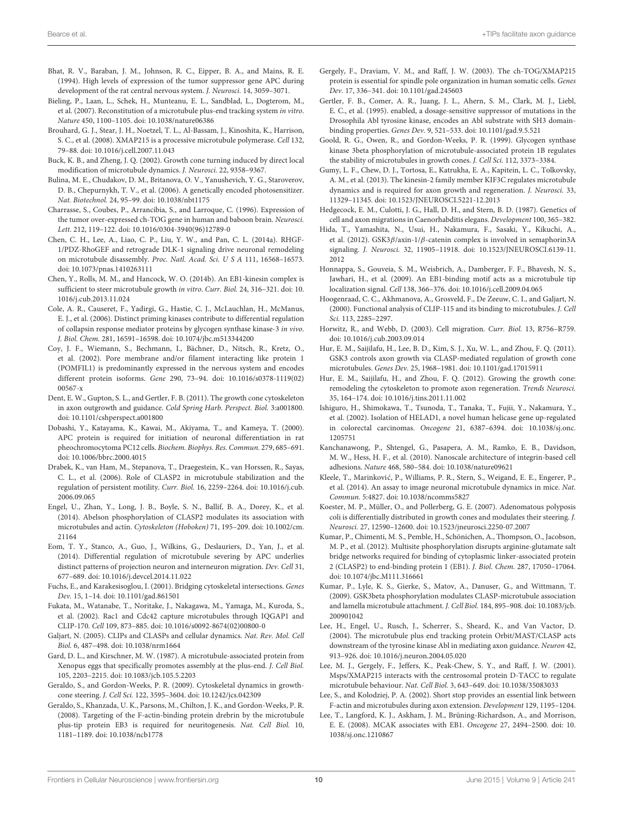- <span id="page-9-11"></span>Bhat, R. V., Baraban, J. M., Johnson, R. C., Eipper, B. A., and Mains, R. E. (1994). High levels of expression of the tumor suppressor gene APC during development of the rat central nervous system. J. Neurosci. 14, 3059–3071.
- <span id="page-9-21"></span>Bieling, P., Laan, L., Schek, H., Munteanu, E. L., Sandblad, L., Dogterom, M., et al. (2007). Reconstitution of a microtubule plus-end tracking system in vitro. Nature 450, 1100–1105. doi: 10.1038/nature06386
- <span id="page-9-18"></span>Brouhard, G. J., Stear, J. H., Noetzel, T. L., Al-Bassam, J., Kinoshita, K., Harrison, S. C., et al. (2008). XMAP215 is a processive microtubule polymerase. Cell 132, 79–88. doi: 10.1016/j.cell.2007.11.043
- <span id="page-9-3"></span>Buck, K. B., and Zheng, J. Q. (2002). Growth cone turning induced by direct local modification of microtubule dynamics. J. Neurosci. 22, 9358–9367.
- <span id="page-9-39"></span>Bulina, M. E., Chudakov, D. M., Britanova, O. V., Yanushevich, Y. G., Staroverov, D. B., Chepurnykh, T. V., et al. (2006). A genetically encoded photosensitizer. Nat. Biotechnol. 24, 95–99. doi: 10.1038/nbt1175
- <span id="page-9-16"></span>Charrasse, S., Coubes, P., Arrancibia, S., and Larroque, C. (1996). Expression of the tumor over-expressed ch-TOG gene in human and baboon brain. Neurosci. Lett. 212, 119–122. doi: 10.1016/0304-3940(96)12789-0
- <span id="page-9-29"></span>Chen, C. H., Lee, A., Liao, C. P., Liu, Y. W., and Pan, C. L. (2014a). RHGF-1/PDZ-RhoGEF and retrograde DLK-1 signaling drive neuronal remodeling on microtubule disassembly. Proc. Natl. Acad. Sci. U S A 111, 16568–16573. doi: 10.1073/pnas.1410263111
- <span id="page-9-35"></span>Chen, Y., Rolls, M. M., and Hancock, W. O. (2014b). An EB1-kinesin complex is sufficient to steer microtubule growth in vitro. Curr. Biol. 24, 316–321. doi: 10. 1016/j.cub.2013.11.024
- <span id="page-9-37"></span>Cole, A. R., Causeret, F., Yadirgi, G., Hastie, C. J., McLauchlan, H., McManus, E. J., et al. (2006). Distinct priming kinases contribute to differential regulation of collapsin response mediator proteins by glycogen synthase kinase-3 in vivo. J. Biol. Chem. 281, 16591–16598. doi: 10.1074/jbc.m513344200
- <span id="page-9-32"></span>Coy, J. F., Wiemann, S., Bechmann, I., Bächner, D., Nitsch, R., Kretz, O., et al. (2002). Pore membrane and/or filament interacting like protein 1 (POMFIL1) is predominantly expressed in the nervous system and encodes different protein isoforms. Gene 290, 73–94. doi: 10.1016/s0378-1119(02) 00567-x
- <span id="page-9-1"></span>Dent, E. W., Gupton, S. L., and Gertler, F. B. (2011). The growth cone cytoskeleton in axon outgrowth and guidance. Cold Spring Harb. Perspect. Biol. 3:a001800. doi: 10.1101/cshperspect.a001800
- <span id="page-9-13"></span>Dobashi, Y., Katayama, K., Kawai, M., Akiyama, T., and Kameya, T. (2000). APC protein is required for initiation of neuronal differentiation in rat pheochromocytoma PC12 cells. Biochem. Biophys. Res. Commun. 279, 685–691. doi: 10.1006/bbrc.2000.4015
- <span id="page-9-25"></span>Drabek, K., van Ham, M., Stepanova, T., Draegestein, K., van Horssen, R., Sayas, C. L., et al. (2006). Role of CLASP2 in microtubule stabilization and the regulation of persistent motility. Curr. Biol. 16, 2259–2264. doi: 10.1016/j.cub. 2006.09.065
- <span id="page-9-9"></span>Engel, U., Zhan, Y., Long, J. B., Boyle, S. N., Ballif, B. A., Dorey, K., et al. (2014). Abelson phosphorylation of CLASP2 modulates its association with microtubules and actin. Cytoskeleton (Hoboken) 71, 195–209. doi: 10.1002/cm. 21164
- <span id="page-9-14"></span>Eom, T. Y., Stanco, A., Guo, J., Wilkins, G., Deslauriers, D., Yan, J., et al. (2014). Differential regulation of microtubule severing by APC underlies distinct patterns of projection neuron and interneuron migration. Dev. Cell 31, 677–689. doi: 10.1016/j.devcel.2014.11.022
- <span id="page-9-26"></span>Fuchs, E., and Karakesisoglou, I. (2001). Bridging cytoskeletal intersections. Genes Dev. 15, 1–14. doi: 10.1101/gad.861501
- <span id="page-9-24"></span>Fukata, M., Watanabe, T., Noritake, J., Nakagawa, M., Yamaga, M., Kuroda, S., et al. (2002). Rac1 and Cdc42 capture microtubules through IQGAP1 and CLIP-170. Cell 109, 873–885. doi: 10.1016/s0092-8674(02)00800-0
- <span id="page-9-5"></span>Galjart, N. (2005). CLIPs and CLASPs and cellular dynamics. Nat. Rev. Mol. Cell Biol. 6, 487–498. doi: 10.1038/nrm1664
- <span id="page-9-15"></span>Gard, D. L., and Kirschner, M. W. (1987). A microtubule-associated protein from Xenopus eggs that specifically promotes assembly at the plus-end. J. Cell Biol. 105, 2203–2215. doi: 10.1083/jcb.105.5.2203
- <span id="page-9-0"></span>Geraldo, S., and Gordon-Weeks, P. R. (2009). Cytoskeletal dynamics in growthcone steering. J. Cell Sci. 122, 3595–3604. doi: 10.1242/jcs.042309
- <span id="page-9-22"></span>Geraldo, S., Khanzada, U. K., Parsons, M., Chilton, J. K., and Gordon-Weeks, P. R. (2008). Targeting of the F-actin-binding protein drebrin by the microtubule plus-tip protein EB3 is required for neuritogenesis. Nat. Cell Biol. 10, 1181–1189. doi: 10.1038/ncb1778
- <span id="page-9-19"></span>Gergely, F., Draviam, V. M., and Raff, J. W. (2003). The ch-TOG/XMAP215 protein is essential for spindle pole organization in human somatic cells. Genes Dev. 17, 336–341. doi: 10.1101/gad.245603
- <span id="page-9-10"></span>Gertler, F. B., Comer, A. R., Juang, J. L., Ahern, S. M., Clark, M. J., Liebl, E. C., et al. (1995). enabled, a dosage-sensitive suppressor of mutations in the Drosophila Abl tyrosine kinase, encodes an Abl substrate with SH3 domainbinding properties. Genes Dev. 9, 521–533. doi: 10.1101/gad.9.5.521
- <span id="page-9-23"></span>Goold, R. G., Owen, R., and Gordon-Weeks, P. R. (1999). Glycogen synthase kinase 3beta phosphorylation of microtubule-associated protein 1B regulates the stability of microtubules in growth cones. J. Cell Sci. 112, 3373–3384.
- <span id="page-9-34"></span>Gumy, L. F., Chew, D. J., Tortosa, E., Katrukha, E. A., Kapitein, L. C., Tolkovsky, A. M., et al. (2013). The kinesin-2 family member KIF3C regulates microtubule dynamics and is required for axon growth and regeneration. J. Neurosci. 33, 11329–11345. doi: 10.1523/JNEUROSCI.5221-12.2013
- <span id="page-9-30"></span>Hedgecock, E. M., Culotti, J. G., Hall, D. H., and Stern, B. D. (1987). Genetics of cell and axon migrations in Caenorhabditis elegans. Development 100, 365–382.
- <span id="page-9-38"></span>Hida, T., Yamashita, N., Usui, H., Nakamura, F., Sasaki, Y., Kikuchi, A., et al. (2012). GSK3β/axin-1/β-catenin complex is involved in semaphorin3A signaling. J. Neurosci. 32, 11905–11918. doi: 10.1523/JNEUROSCI.6139-11. 2012
- <span id="page-9-20"></span>Honnappa, S., Gouveia, S. M., Weisbrich, A., Damberger, F. F., Bhavesh, N. S., Jawhari, H., et al. (2009). An EB1-binding motif acts as a microtubule tip localization signal. Cell 138, 366–376. doi: 10.1016/j.cell.2009.04.065
- <span id="page-9-36"></span>Hoogenraad, C. C., Akhmanova, A., Grosveld, F., De Zeeuw, C. I., and Galjart, N. (2000). Functional analysis of CLIP-115 and its binding to microtubules. J. Cell Sci. 113, 2285–2297.
- <span id="page-9-28"></span>Horwitz, R., and Webb, D. (2003). Cell migration. Curr. Biol. 13, R756–R759. doi: 10.1016/j.cub.2003.09.014
- <span id="page-9-6"></span>Hur, E. M., Saijilafu, H., Lee, B. D., Kim, S. J., Xu, W. L., and Zhou, F. Q. (2011). GSK3 controls axon growth via CLASP-mediated regulation of growth cone microtubules. Genes Dev. 25, 1968–1981. doi: 10.1101/gad.17015911
- <span id="page-9-2"></span>Hur, E. M., Saijilafu, H., and Zhou, F. Q. (2012). Growing the growth cone: remodeling the cytoskeleton to promote axon regeneration. Trends Neurosci. 35, 164–174. doi: 10.1016/j.tins.2011.11.002
- <span id="page-9-31"></span>Ishiguro, H., Shimokawa, T., Tsunoda, T., Tanaka, T., Fujii, Y., Nakamura, Y., et al. (2002). Isolation of HELAD1, a novel human helicase gene up-regulated in colorectal carcinomas. Oncogene 21, 6387–6394. doi: 10.1038/sj.onc. 1205751
- <span id="page-9-41"></span>Kanchanawong, P., Shtengel, G., Pasapera, A. M., Ramko, E. B., Davidson, M. W., Hess, H. F., et al. (2010). Nanoscale architecture of integrin-based cell adhesions. Nature 468, 580–584. doi: 10.1038/nature09621
- <span id="page-9-40"></span>Kleele, T., Marinković, P., Williams, P. R., Stern, S., Weigand, E. E., Engerer, P., et al. (2014). An assay to image neuronal microtubule dynamics in mice. Nat. Commun. 5:4827. doi: 10.1038/ncomms5827
- <span id="page-9-12"></span>Koester, M. P., Müller, O., and Pollerberg, G. E. (2007). Adenomatous polyposis coli is differentially distributed in growth cones and modulates their steering. J. Neurosci. 27, 12590–12600. doi: 10.1523/jneurosci.2250-07.2007
- <span id="page-9-8"></span>Kumar, P., Chimenti, M. S., Pemble, H., Schönichen, A., Thompson, O., Jacobson, M. P., et al. (2012). Multisite phosphorylation disrupts arginine-glutamate salt bridge networks required for binding of cytoplasmic linker-associated protein 2 (CLASP2) to end-binding protein 1 (EB1). J. Biol. Chem. 287, 17050–17064. doi: 10.1074/jbc.M111.316661
- <span id="page-9-7"></span>Kumar, P., Lyle, K. S., Gierke, S., Matov, A., Danuser, G., and Wittmann, T. (2009). GSK3beta phosphorylation modulates CLASP-microtubule association and lamella microtubule attachment. J. Cell Biol. 184, 895–908. doi: 10.1083/jcb. 200901042
- <span id="page-9-4"></span>Lee, H., Engel, U., Rusch, J., Scherrer, S., Sheard, K., and Van Vactor, D. (2004). The microtubule plus end tracking protein Orbit/MAST/CLASP acts downstream of the tyrosine kinase Abl in mediating axon guidance. Neuron 42, 913–926. doi: 10.1016/j.neuron.2004.05.020
- <span id="page-9-17"></span>Lee, M. J., Gergely, F., Jeffers, K., Peak-Chew, S. Y., and Raff, J. W. (2001). Msps/XMAP215 interacts with the centrosomal protein D-TACC to regulate microtubule behaviour. Nat. Cell Biol. 3, 643–649. doi: 10.1038/35083033
- <span id="page-9-27"></span>Lee, S., and Kolodziej, P. A. (2002). Short stop provides an essential link between F-actin and microtubules during axon extension. Development 129, 1195–1204.
- <span id="page-9-33"></span>Lee, T., Langford, K. J., Askham, J. M., Brüning-Richardson, A., and Morrison, E. E. (2008). MCAK associates with EB1. Oncogene 27, 2494–2500. doi: 10. 1038/sj.onc.1210867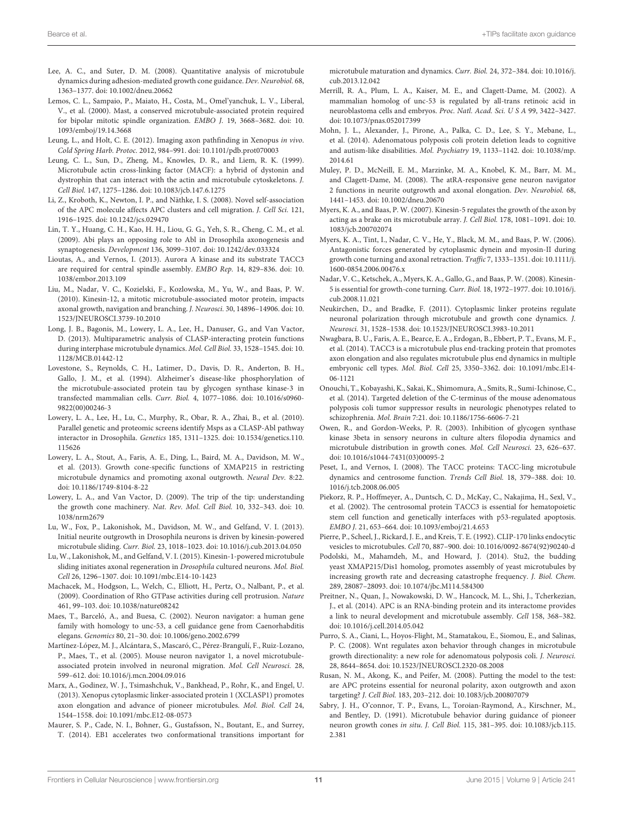- <span id="page-10-17"></span>Lee, A. C., and Suter, D. M. (2008). Quantitative analysis of microtubule dynamics during adhesion-mediated growth cone guidance. Dev. Neurobiol. 68, 1363–1377. doi: 10.1002/dneu.20662
- <span id="page-10-2"></span>Lemos, C. L., Sampaio, P., Maiato, H., Costa, M., Omel'yanchuk, L. V., Liberal, V., et al. (2000). Mast, a conserved microtubule-associated protein required for bipolar mitotic spindle organization. EMBO J. 19, 3668–3682. doi: 10. 1093/emboj/19.14.3668
- <span id="page-10-37"></span>Leung, L., and Holt, C. E. (2012). Imaging axon pathfinding in Xenopus in vivo. Cold Spring Harb. Protoc. 2012, 984–991. doi: 10.1101/pdb.prot070003
- <span id="page-10-28"></span>Leung, C. L., Sun, D., Zheng, M., Knowles, D. R., and Liem, R. K. (1999). Microtubule actin cross-linking factor (MACF): a hybrid of dystonin and dystrophin that can interact with the actin and microtubule cytoskeletons. J. Cell Biol. 147, 1275–1286. doi: 10.1083/jcb.147.6.1275
- <span id="page-10-11"></span>Li, Z., Kroboth, K., Newton, I. P., and Näthke, I. S. (2008). Novel self-association of the APC molecule affects APC clusters and cell migration. J. Cell Sci. 121, 1916–1925. doi: 10.1242/jcs.029470
- <span id="page-10-5"></span>Lin, T. Y., Huang, C. H., Kao, H. H., Liou, G. G., Yeh, S. R., Cheng, C. M., et al. (2009). Abi plays an opposing role to Abl in Drosophila axonogenesis and synaptogenesis. Development 136, 3099–3107. doi: 10.1242/dev.033324
- <span id="page-10-23"></span>Lioutas, A., and Vernos, I. (2013). Aurora A kinase and its substrate TACC3 are required for central spindle assembly. EMBO Rep. 14, 829–836. doi: 10. 1038/embor.2013.109
- <span id="page-10-36"></span>Liu, M., Nadar, V. C., Kozielski, F., Kozlowska, M., Yu, W., and Baas, P. W. (2010). Kinesin-12, a mitotic microtubule-associated motor protein, impacts axonal growth, navigation and branching. J. Neurosci. 30, 14896–14906. doi: 10. 1523/JNEUROSCI.3739-10.2010
- <span id="page-10-21"></span>Long, J. B., Bagonis, M., Lowery, L. A., Lee, H., Danuser, G., and Van Vactor, D. (2013). Multiparametric analysis of CLASP-interacting protein functions during interphase microtubule dynamics. Mol. Cell Biol. 33, 1528–1545. doi: 10. 1128/MCB.01442-12
- <span id="page-10-25"></span>Lovestone, S., Reynolds, C. H., Latimer, D., Davis, D. R., Anderton, B. H., Gallo, J. M., et al. (1994). Alzheimer's disease-like phosphorylation of the microtubule-associated protein tau by glycogen synthase kinase-3 in transfected mammalian cells. Curr. Biol. 4, 1077–1086. doi: 10.1016/s0960- 9822(00)00246-3
- <span id="page-10-12"></span>Lowery, L. A., Lee, H., Lu, C., Murphy, R., Obar, R. A., Zhai, B., et al. (2010). Parallel genetic and proteomic screens identify Msps as a CLASP-Abl pathway interactor in Drosophila. Genetics 185, 1311–1325. doi: 10.1534/genetics.110. 115626
- <span id="page-10-15"></span>Lowery, L. A., Stout, A., Faris, A. E., Ding, L., Baird, M. A., Davidson, M. W., et al. (2013). Growth cone-specific functions of XMAP215 in restricting microtubule dynamics and promoting axonal outgrowth. Neural Dev. 8:22. doi: 10.1186/1749-8104-8-22
- <span id="page-10-0"></span>Lowery, L. A., and Van Vactor, D. (2009). The trip of the tip: understanding the growth cone machinery. Nat. Rev. Mol. Cell Biol. 10, 332–343. doi: 10. 1038/nrm2679
- <span id="page-10-18"></span>Lu, W., Fox, P., Lakonishok, M., Davidson, M. W., and Gelfand, V. I. (2013). Initial neurite outgrowth in Drosophila neurons is driven by kinesin-powered microtubule sliding. Curr. Biol. 23, 1018–1023. doi: 10.1016/j.cub.2013.04.050
- <span id="page-10-19"></span>Lu, W., Lakonishok, M., and Gelfand, V. I. (2015). Kinesin-1-powered microtubule sliding initiates axonal regeneration in Drosophila cultured neurons. Mol. Biol. Cell 26, 1296–1307. doi: 10.1091/mbc.E14-10-1423
- <span id="page-10-29"></span>Machacek, M., Hodgson, L., Welch, C., Elliott, H., Pertz, O., Nalbant, P., et al. (2009). Coordination of Rho GTPase activities during cell protrusion. Nature 461, 99–103. doi: 10.1038/nature08242
- <span id="page-10-30"></span>Maes, T., Barceló, A., and Buesa, C. (2002). Neuron navigator: a human gene family with homology to unc-53, a cell guidance gene from Caenorhabditis elegans. Genomics 80, 21–30. doi: 10.1006/geno.2002.6799
- <span id="page-10-32"></span>Martínez-López, M. J., Alcántara, S., Mascaró, C., Pérez-Brangulí, F., Ruiz-Lozano, P., Maes, T., et al. (2005). Mouse neuron navigator 1, a novel microtubuleassociated protein involved in neuronal migration. Mol. Cell Neurosci. 28, 599–612. doi: 10.1016/j.mcn.2004.09.016
- <span id="page-10-4"></span>Marx, A., Godinez, W. J., Tsimashchuk, V., Bankhead, P., Rohr, K., and Engel, U. (2013). Xenopus cytoplasmic linker-associated protein 1 (XCLASP1) promotes axon elongation and advance of pioneer microtubules. Mol. Biol. Cell 24, 1544–1558. doi: 10.1091/mbc.E12-08-0573
- <span id="page-10-14"></span>Maurer, S. P., Cade, N. I., Bohner, G., Gustafsson, N., Boutant, E., and Surrey, T. (2014). EB1 accelerates two conformational transitions important for

microtubule maturation and dynamics. Curr. Biol. 24, 372–384. doi: 10.1016/j. cub.2013.12.042

- <span id="page-10-31"></span>Merrill, R. A., Plum, L. A., Kaiser, M. E., and Clagett-Dame, M. (2002). A mammalian homolog of unc-53 is regulated by all-trans retinoic acid in neuroblastoma cells and embryos. Proc. Natl. Acad. Sci. U S A 99, 3422–3427. doi: 10.1073/pnas.052017399
- <span id="page-10-7"></span>Mohn, J. L., Alexander, J., Pirone, A., Palka, C. D., Lee, S. Y., Mebane, L., et al. (2014). Adenomatous polyposis coli protein deletion leads to cognitive and autism-like disabilities. Mol. Psychiatry 19, 1133–1142. doi: 10.1038/mp. 2014.61
- <span id="page-10-33"></span>Muley, P. D., McNeill, E. M., Marzinke, M. A., Knobel, K. M., Barr, M. M., and Clagett-Dame, M. (2008). The atRA-responsive gene neuron navigator 2 functions in neurite outgrowth and axonal elongation. Dev. Neurobiol. 68, 1441–1453. doi: 10.1002/dneu.20670
- <span id="page-10-34"></span>Myers, K. A., and Baas, P. W. (2007). Kinesin-5 regulates the growth of the axon by acting as a brake on its microtubule array. J. Cell Biol. 178, 1081–1091. doi: 10. 1083/jcb.200702074
- <span id="page-10-16"></span>Myers, K. A., Tint, I., Nadar, C. V., He, Y., Black, M. M., and Baas, P. W. (2006). Antagonistic forces generated by cytoplasmic dynein and myosin-II during growth cone turning and axonal retraction. Traffic 7, 1333–1351. doi: 10.1111/j. 1600-0854.2006.00476.x
- <span id="page-10-35"></span>Nadar, V. C., Ketschek, A., Myers, K. A., Gallo, G., and Baas, P. W. (2008). Kinesin-5 is essential for growth-cone turning. Curr. Biol. 18, 1972–1977. doi: 10.1016/j. cub.2008.11.021
- <span id="page-10-27"></span>Neukirchen, D., and Bradke, F. (2011). Cytoplasmic linker proteins regulate neuronal polarization through microtubule and growth cone dynamics. J. Neurosci. 31, 1528–1538. doi: 10.1523/JNEUROSCI.3983-10.2011
- <span id="page-10-24"></span>Nwagbara, B. U., Faris, A. E., Bearce, E. A., Erdogan, B., Ebbert, P. T., Evans, M. F., et al. (2014). TACC3 is a microtubule plus end-tracking protein that promotes axon elongation and also regulates microtubule plus end dynamics in multiple embryonic cell types. Mol. Biol. Cell 25, 3350–3362. doi: 10.1091/mbc.E14- 06-1121
- <span id="page-10-8"></span>Onouchi, T., Kobayashi, K., Sakai, K., Shimomura, A., Smits, R., Sumi-Ichinose, C., et al. (2014). Targeted deletion of the C-terminus of the mouse adenomatous polyposis coli tumor suppressor results in neurologic phenotypes related to schizophrenia. Mol. Brain 7:21. doi: 10.1186/1756-6606-7-21
- <span id="page-10-3"></span>Owen, R., and Gordon-Weeks, P. R. (2003). Inhibition of glycogen synthase kinase 3beta in sensory neurons in culture alters filopodia dynamics and microtubule distribution in growth cones. Mol. Cell Neurosci. 23, 626–637. doi: 10.1016/s1044-7431(03)00095-2
- <span id="page-10-22"></span>Peset, I., and Vernos, I. (2008). The TACC proteins: TACC-ling microtubule dynamics and centrosome function. Trends Cell Biol. 18, 379–388. doi: 10. 1016/j.tcb.2008.06.005
- <span id="page-10-20"></span>Piekorz, R. P., Hoffmeyer, A., Duntsch, C. D., McKay, C., Nakajima, H., Sexl, V., et al. (2002). The centrosomal protein TACC3 is essential for hematopoietic stem cell function and genetically interfaces with p53-regulated apoptosis. EMBO J. 21, 653–664. doi: 10.1093/emboj/21.4.653
- <span id="page-10-26"></span>Pierre, P., Scheel, J., Rickard, J. E., and Kreis, T. E. (1992). CLIP-170 links endocytic vesicles to microtubules. Cell 70, 887–900. doi: 10.1016/0092-8674(92)90240-d
- <span id="page-10-13"></span>Podolski, M., Mahamdeh, M., and Howard, J. (2014). Stu2, the budding yeast XMAP215/Dis1 homolog, promotes assembly of yeast microtubules by increasing growth rate and decreasing catastrophe frequency. J. Biol. Chem. 289, 28087–28093. doi: 10.1074/jbc.M114.584300
- <span id="page-10-10"></span>Preitner, N., Quan, J., Nowakowski, D. W., Hancock, M. L., Shi, J., Tcherkezian, J., et al. (2014). APC is an RNA-binding protein and its interactome provides a link to neural development and microtubule assembly. Cell 158, 368–382. doi: 10.1016/j.cell.2014.05.042
- <span id="page-10-6"></span>Purro, S. A., Ciani, L., Hoyos-Flight, M., Stamatakou, E., Siomou, E., and Salinas, P. C. (2008). Wnt regulates axon behavior through changes in microtubule growth directionality: a new role for adenomatous polyposis coli. J. Neurosci. 28, 8644–8654. doi: 10.1523/JNEUROSCI.2320-08.2008
- <span id="page-10-9"></span>Rusan, N. M., Akong, K., and Peifer, M. (2008). Putting the model to the test: are APC proteins essential for neuronal polarity, axon outgrowth and axon targeting? J. Cell Biol. 183, 203–212. doi: 10.1083/jcb.200807079
- <span id="page-10-1"></span>Sabry, J. H., O'connor, T. P., Evans, L., Toroian-Raymond, A., Kirschner, M., and Bentley, D. (1991). Microtubule behavior during guidance of pioneer neuron growth cones in situ. J. Cell Biol. 115, 381–395. doi: 10.1083/jcb.115. 2.381